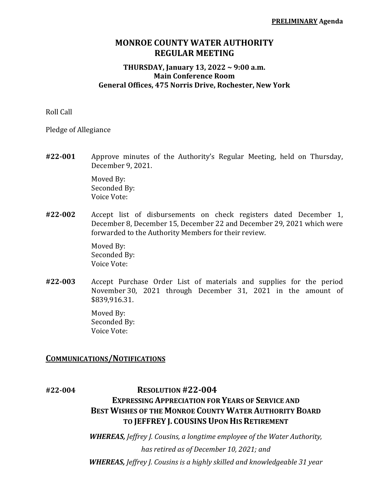## **MONROE COUNTY WATER AUTHORITY REGULAR MEETING**

### **THURSDAY, January 13, 2022 ~ 9:00 a.m. Main Conference Room General Offices, 475 Norris Drive, Rochester, New York**

Roll Call

Pledge of Allegiance

**#22-001** Approve minutes of the Authority's Regular Meeting, held on Thursday, December 9, 2021.

> Moved By: Seconded By: Voice Vote:

**#22-002** Accept list of disbursements on check registers dated December 1, December 8, December 15, December 22 and December 29, 2021 which were forwarded to the Authority Members for their review.

> Moved By: Seconded By: Voice Vote:

**#22-003** Accept Purchase Order List of materials and supplies for the period November 30, 2021 through December 31, 2021 in the amount of \$839,916.31.

> Moved By: Seconded By: Voice Vote:

### **COMMUNICATIONS/NOTIFICATIONS**

# **#22-004 RESOLUTION #22-004 EXPRESSING APPRECIATION FOR YEARS OF SERVICE AND BEST WISHES OF THE MONROE COUNTY WATER AUTHORITY BOARD TO JEFFREY J. COUSINS UPON HIS RETIREMENT**

*WHEREAS, Jeffrey J. Cousins, a longtime employee of the Water Authority, has retired as of December 10, 2021; and WHEREAS, Jeffrey J. Cousins is a highly skilled and knowledgeable 31 year*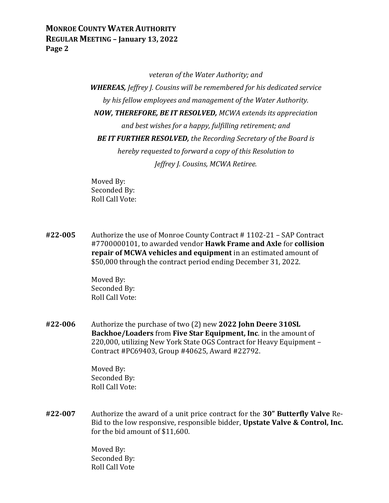## **MONROE COUNTY WATER AUTHORITY REGULAR MEETING – January 13, 2022 Page 2**

*veteran of the Water Authority; and*

*WHEREAS, Jeffrey J. Cousins will be remembered for his dedicated service by his fellow employees and management of the Water Authority. NOW, THEREFORE, BE IT RESOLVED, MCWA extends its appreciation and best wishes for a happy, fulfilling retirement; and BE IT FURTHER RESOLVED, the Recording Secretary of the Board is hereby requested to forward a copy of this Resolution to Jeffrey J. Cousins, MCWA Retiree.*

Moved By: Seconded By: Roll Call Vote:

**#22-005** Authorize the use of Monroe County Contract # 1102-21 – SAP Contract #7700000101, to awarded vendor **Hawk Frame and Axle** for **collision repair of MCWA vehicles and equipment** in an estimated amount of \$50,000 through the contract period ending December 31, 2022.

> Moved By: Seconded By: Roll Call Vote:

**#22-006** Authorize the purchase of two (2) new **2022 John Deere 310SL Backhoe/Loaders** from **Five Star Equipment, Inc**. in the amount of 220,000, utilizing New York State OGS Contract for Heavy Equipment – Contract #PC69403, Group #40625, Award #22792.

> Moved By: Seconded By: Roll Call Vote:

**#22-007** Authorize the award of a unit price contract for the **30" Butterfly Valve** Re-Bid to the low responsive, responsible bidder, **Upstate Valve & Control, Inc.** for the bid amount of \$11,600.

> Moved By: Seconded By: Roll Call Vote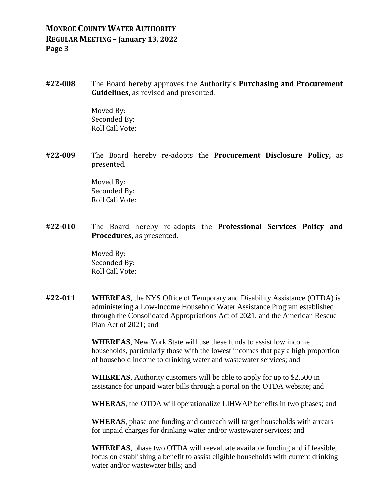## **MONROE COUNTY WATER AUTHORITY REGULAR MEETING – January 13, 2022 Page 3**

**#22-008** The Board hereby approves the Authority's **Purchasing and Procurement Guidelines,** as revised and presented.

> Moved By: Seconded By: Roll Call Vote:

**#22-009** The Board hereby re-adopts the **Procurement Disclosure Policy,** as presented.

> Moved By: Seconded By: Roll Call Vote:

**#22-010** The Board hereby re-adopts the **Professional Services Policy and Procedures,** as presented.

> Moved By: Seconded By: Roll Call Vote:

**#22-011 WHEREAS**, the NYS Office of Temporary and Disability Assistance (OTDA) is administering a Low-Income Household Water Assistance Program established through the Consolidated Appropriations Act of 2021, and the American Rescue Plan Act of 2021; and

> **WHEREAS**, New York State will use these funds to assist low income households, particularly those with the lowest incomes that pay a high proportion of household income to drinking water and wastewater services; and

**WHEREAS**, Authority customers will be able to apply for up to \$2,500 in assistance for unpaid water bills through a portal on the OTDA website; and

**WHERAS**, the OTDA will operationalize LIHWAP benefits in two phases; and

**WHERAS**, phase one funding and outreach will target households with arrears for unpaid charges for drinking water and/or wastewater services; and

**WHEREAS**, phase two OTDA will reevaluate available funding and if feasible, focus on establishing a benefit to assist eligible households with current drinking water and/or wastewater bills; and